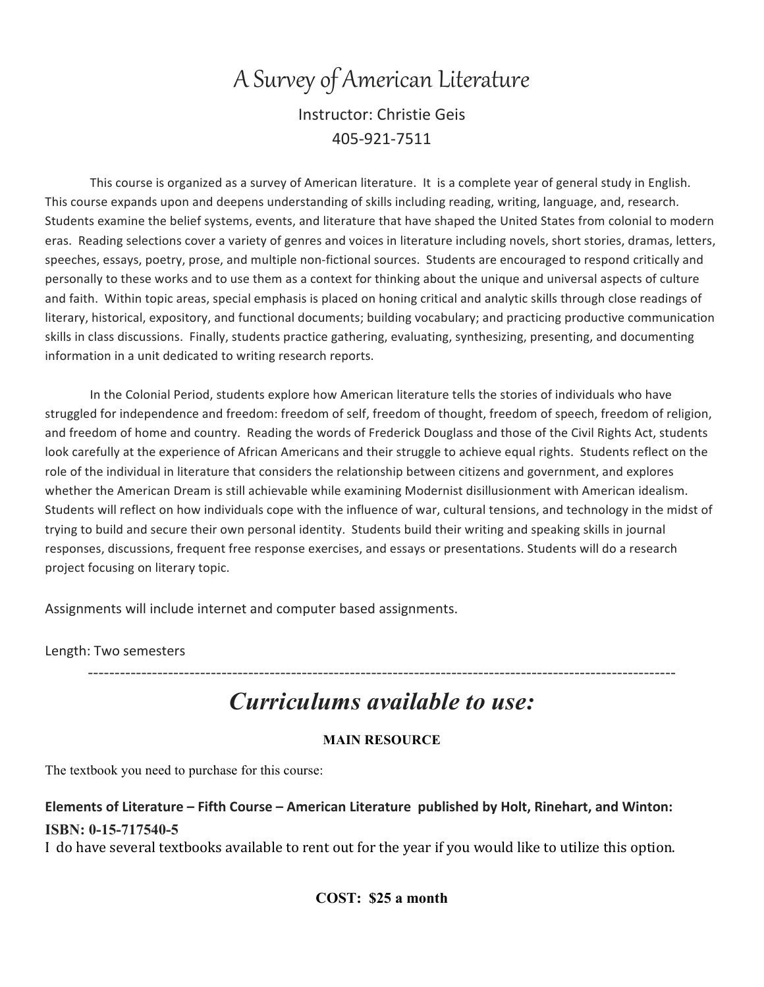# A Survey of American Literature Instructor: Christie Geis 405-921-7511

This course is organized as a survey of American literature. It is a complete year of general study in English. This course expands upon and deepens understanding of skills including reading, writing, language, and, research. Students examine the belief systems, events, and literature that have shaped the United States from colonial to modern eras. Reading selections cover a variety of genres and voices in literature including novels, short stories, dramas, letters, speeches, essays, poetry, prose, and multiple non-fictional sources. Students are encouraged to respond critically and personally to these works and to use them as a context for thinking about the unique and universal aspects of culture and faith. Within topic areas, special emphasis is placed on honing critical and analytic skills through close readings of literary, historical, expository, and functional documents; building vocabulary; and practicing productive communication skills in class discussions. Finally, students practice gathering, evaluating, synthesizing, presenting, and documenting information in a unit dedicated to writing research reports.

In the Colonial Period, students explore how American literature tells the stories of individuals who have struggled for independence and freedom: freedom of self, freedom of thought, freedom of speech, freedom of religion, and freedom of home and country. Reading the words of Frederick Douglass and those of the Civil Rights Act, students look carefully at the experience of African Americans and their struggle to achieve equal rights. Students reflect on the role of the individual in literature that considers the relationship between citizens and government, and explores whether the American Dream is still achievable while examining Modernist disillusionment with American idealism. Students will reflect on how individuals cope with the influence of war, cultural tensions, and technology in the midst of trying to build and secure their own personal identity. Students build their writing and speaking skills in journal responses, discussions, frequent free response exercises, and essays or presentations. Students will do a research project focusing on literary topic.

Assignments will include internet and computer based assignments.

Length: Two semesters

# *Curriculums available to use:*

--------------------------------------------------------------------------------------------------------------

#### **MAIN RESOURCE**

The textbook you need to purchase for this course:

#### **Elements of Literature – Fifth Course – American Literature published by Holt, Rinehart, and Winton: ISBN: 0-15-717540-5**

I do have several textbooks available to rent out for the year if you would like to utilize this option.